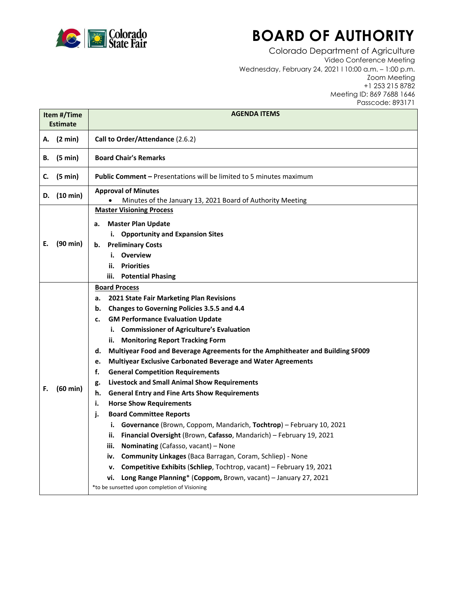

## **BOARD OF AUTHORITY**

Colorado Department of Agriculture Video Conference Meeting Wednesday, February 24, 2021 l 10:00 a.m. – 1:00 p.m. Zoom Meeting +1 253 215 8782 Meeting ID: 869 7688 1646 Passcode: 893171

| Item #/Time<br><b>Estimate</b> |                    | <b>AGENDA ITEMS</b>                                                                      |
|--------------------------------|--------------------|------------------------------------------------------------------------------------------|
|                                | A. (2 min)         | Call to Order/Attendance (2.6.2)                                                         |
| В.                             | $(5 \text{ min})$  | <b>Board Chair's Remarks</b>                                                             |
| C.                             | (5 min)            | <b>Public Comment - Presentations will be limited to 5 minutes maximum</b>               |
|                                | D. (10 min)        | <b>Approval of Minutes</b><br>Minutes of the January 13, 2021 Board of Authority Meeting |
| Е.                             | $(90 \text{ min})$ | <b>Master Visioning Process</b>                                                          |
|                                |                    | <b>Master Plan Update</b><br>а.                                                          |
|                                |                    | i. Opportunity and Expansion Sites                                                       |
|                                |                    | <b>Preliminary Costs</b><br>b.                                                           |
|                                |                    | i. Overview                                                                              |
|                                |                    | <b>Priorities</b><br>ii.                                                                 |
|                                |                    | iii. Potential Phasing                                                                   |
|                                | $(60 \text{ min})$ | <b>Board Process</b>                                                                     |
|                                |                    | 2021 State Fair Marketing Plan Revisions<br>а.                                           |
|                                |                    | Changes to Governing Policies 3.5.5 and 4.4<br>b.                                        |
|                                |                    | <b>GM Performance Evaluation Update</b><br>c.                                            |
|                                |                    | i. Commissioner of Agriculture's Evaluation                                              |
|                                |                    | ii. Monitoring Report Tracking Form                                                      |
|                                |                    | Multiyear Food and Beverage Agreements for the Amphitheater and Building SF009<br>d.     |
|                                |                    | Multiyear Exclusive Carbonated Beverage and Water Agreements<br>e.                       |
|                                |                    | f.<br><b>General Competition Requirements</b>                                            |
|                                |                    | <b>Livestock and Small Animal Show Requirements</b><br>g.                                |
| F.                             |                    | h.<br><b>General Entry and Fine Arts Show Requirements</b>                               |
|                                |                    | <b>Horse Show Requirements</b><br>i.                                                     |
|                                |                    | <b>Board Committee Reports</b><br>j.                                                     |
|                                |                    | i. Governance (Brown, Coppom, Mandarich, Tochtrop) - February 10, 2021                   |
|                                |                    | Financial Oversight (Brown, Cafasso, Mandarich) - February 19, 2021<br>ii.               |
|                                |                    | Nominating (Cafasso, vacant) - None<br>iii.                                              |
|                                |                    | Community Linkages (Baca Barragan, Coram, Schliep) - None<br>iv.                         |
|                                |                    | Competitive Exhibits (Schliep, Tochtrop, vacant) - February 19, 2021<br>v.               |
|                                |                    | Long Range Planning* (Coppom, Brown, vacant) - January 27, 2021<br>vi.                   |
|                                |                    | *to be sunsetted upon completion of Visioning                                            |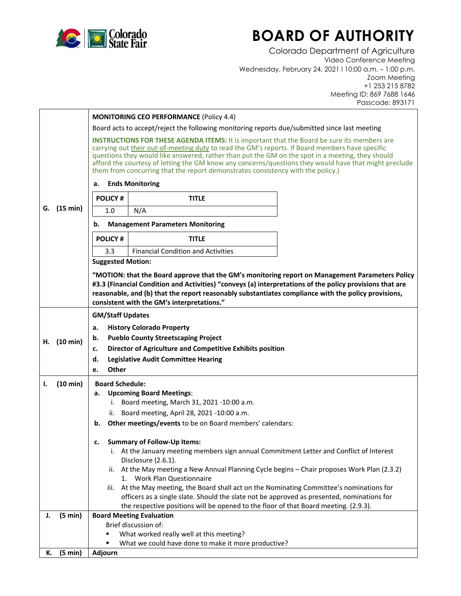

## **BOARD OF AUTHORITY**

Colorado Department of Agriculture Video Conference Meeting Wednesday, February 24, 2021 l 10:00 a.m. – 1:00 p.m. Zoom Meeting +1 253 215 8782 Meeting ID: 869 7688 1646 Passcode: 893171

|    |            | <b>MONITORING CEO PERFORMANCE (Policy 4.4)</b>                                                                                                                                                                                                                                                                                                                                                                                                                                                        |
|----|------------|-------------------------------------------------------------------------------------------------------------------------------------------------------------------------------------------------------------------------------------------------------------------------------------------------------------------------------------------------------------------------------------------------------------------------------------------------------------------------------------------------------|
|    |            | Board acts to accept/reject the following monitoring reports due/submitted since last meeting                                                                                                                                                                                                                                                                                                                                                                                                         |
|    |            | <b>INSTRUCTIONS FOR THESE AGENDA ITEMS:</b> It is important that the Board be sure its members are<br>carrying out their out-of-meeting duty to read the GM's reports. If Board members have specific<br>questions they would like answered, rather than put the GM on the spot in a meeting, they should<br>afford the courtesy of letting the GM know any concerns/questions they would have that might preclude<br>them from concurring that the report demonstrates consistency with the policy.) |
|    |            | <b>Ends Monitoring</b><br>а.                                                                                                                                                                                                                                                                                                                                                                                                                                                                          |
|    |            | <b>POLICY#</b><br><b>TITLE</b>                                                                                                                                                                                                                                                                                                                                                                                                                                                                        |
| G. | (15 min)   | N/A<br>1.0                                                                                                                                                                                                                                                                                                                                                                                                                                                                                            |
|    |            | <b>Management Parameters Monitoring</b><br>b.                                                                                                                                                                                                                                                                                                                                                                                                                                                         |
|    |            | <b>POLICY#</b><br><b>TITLE</b>                                                                                                                                                                                                                                                                                                                                                                                                                                                                        |
|    |            | <b>Financial Condition and Activities</b><br>3.3                                                                                                                                                                                                                                                                                                                                                                                                                                                      |
|    |            | <b>Suggested Motion:</b>                                                                                                                                                                                                                                                                                                                                                                                                                                                                              |
|    |            | "MOTION: that the Board approve that the GM's monitoring report on Management Parameters Policy                                                                                                                                                                                                                                                                                                                                                                                                       |
|    |            | #3.3 (Financial Condition and Activities) "conveys (a) interpretations of the policy provisions that are<br>reasonable, and (b) that the report reasonably substantiates compliance with the policy provisions,                                                                                                                                                                                                                                                                                       |
|    |            | consistent with the GM's interpretations."                                                                                                                                                                                                                                                                                                                                                                                                                                                            |
|    |            | <b>GM/Staff Updates</b>                                                                                                                                                                                                                                                                                                                                                                                                                                                                               |
|    |            | <b>History Colorado Property</b><br>a.                                                                                                                                                                                                                                                                                                                                                                                                                                                                |
| Н. | (10 min)   | <b>Pueblo County Streetscaping Project</b><br>b.                                                                                                                                                                                                                                                                                                                                                                                                                                                      |
|    |            | Director of Agriculture and Competitive Exhibits position<br>c.                                                                                                                                                                                                                                                                                                                                                                                                                                       |
|    |            | d.<br><b>Legislative Audit Committee Hearing</b>                                                                                                                                                                                                                                                                                                                                                                                                                                                      |
|    |            | <b>Other</b><br>e.                                                                                                                                                                                                                                                                                                                                                                                                                                                                                    |
| Ι. | (10 min)   | <b>Board Schedule:</b>                                                                                                                                                                                                                                                                                                                                                                                                                                                                                |
|    |            | <b>Upcoming Board Meetings:</b><br>а.<br>i. Board meeting, March 31, 2021 -10:00 a.m.                                                                                                                                                                                                                                                                                                                                                                                                                 |
|    |            | ii. Board meeting, April 28, 2021 -10:00 a.m.                                                                                                                                                                                                                                                                                                                                                                                                                                                         |
|    |            | Other meetings/events to be on Board members' calendars:<br>b.                                                                                                                                                                                                                                                                                                                                                                                                                                        |
|    |            |                                                                                                                                                                                                                                                                                                                                                                                                                                                                                                       |
|    |            | <b>Summary of Follow-Up Items:</b><br>c.                                                                                                                                                                                                                                                                                                                                                                                                                                                              |
|    |            | i. At the January meeting members sign annual Commitment Letter and Conflict of Interest<br>Disclosure (2.6.1).                                                                                                                                                                                                                                                                                                                                                                                       |
|    |            | ii. At the May meeting a New Annual Planning Cycle begins - Chair proposes Work Plan (2.3.2)<br>1. Work Plan Questionnaire                                                                                                                                                                                                                                                                                                                                                                            |
|    |            | At the May meeting, the Board shall act on the Nominating Committee's nominations for<br>iii.                                                                                                                                                                                                                                                                                                                                                                                                         |
|    |            | officers as a single slate. Should the slate not be approved as presented, nominations for                                                                                                                                                                                                                                                                                                                                                                                                            |
|    |            | the respective positions will be opened to the floor of that Board meeting. (2.9.3).                                                                                                                                                                                                                                                                                                                                                                                                                  |
| J. | (5 min)    | <b>Board Meeting Evaluation</b><br>Brief discussion of:                                                                                                                                                                                                                                                                                                                                                                                                                                               |
|    |            | What worked really well at this meeting?                                                                                                                                                                                                                                                                                                                                                                                                                                                              |
|    |            | What we could have done to make it more productive?                                                                                                                                                                                                                                                                                                                                                                                                                                                   |
|    | K. (5 min) | Adjourn                                                                                                                                                                                                                                                                                                                                                                                                                                                                                               |